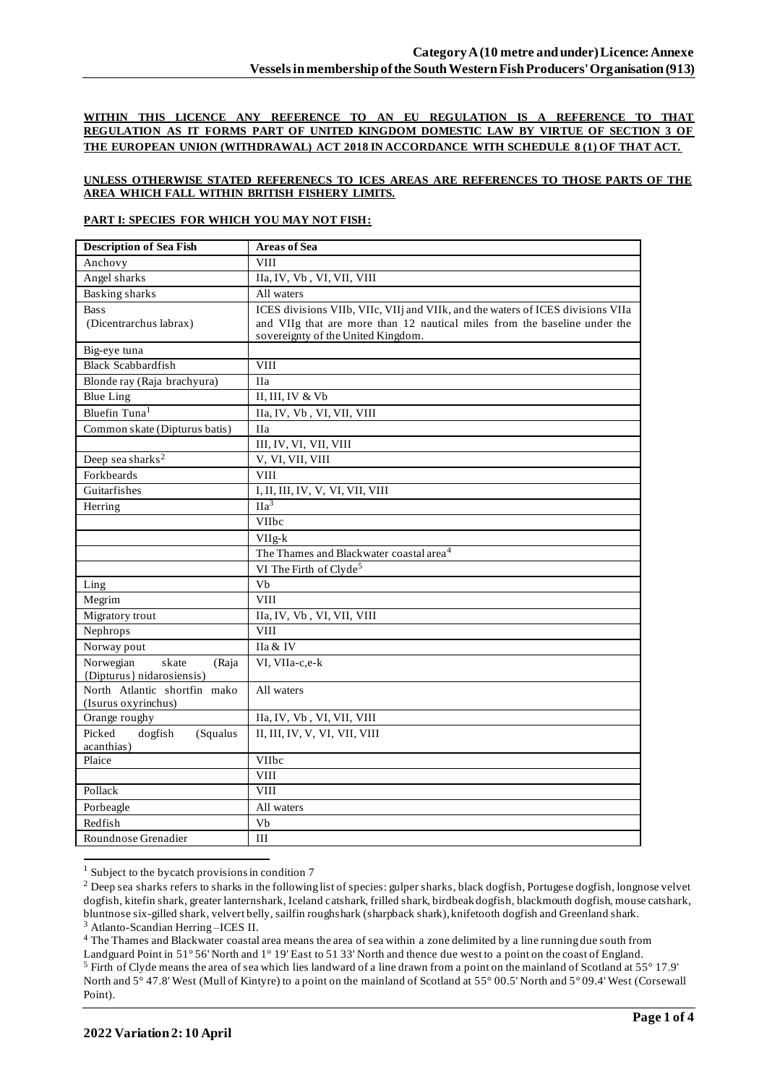**WITHIN THIS LICENCE ANY REFERENCE TO AN EU REGULATION IS A REFERENCE TO THAT REGULATION AS IT FORMS PART OF UNITED KINGDOM DOMESTIC LAW BY VIRTUE OF SECTION 3 OF THE EUROPEAN UNION (WITHDRAWAL) ACT 2018 IN ACCORDANCE WITH SCHEDULE 8 (1) OF THAT ACT.**

### **UNLESS OTHERWISE STATED REFERENECS TO ICES AREAS ARE REFERENCES TO THOSE PARTS OF THE AREA WHICH FALL WITHIN BRITISH FISHERY LIMITS.**

#### **PART I: SPECIES FOR WHICH YOU MAY NOT FISH:**

| <b>Description of Sea Fish</b>                           | <b>Areas of Sea</b>                                                                                             |
|----------------------------------------------------------|-----------------------------------------------------------------------------------------------------------------|
| Anchovy                                                  | <b>VIII</b>                                                                                                     |
| Angel sharks                                             | IIa, IV, Vb, VI, VII, VIII                                                                                      |
| <b>Basking sharks</b>                                    | All waters                                                                                                      |
| <b>Bass</b>                                              | ICES divisions VIIb, VIIc, VIIj and VIIk, and the waters of ICES divisions VIIa                                 |
| (Dicentrarchus labrax)                                   | and VIIg that are more than 12 nautical miles from the baseline under the<br>sovereignty of the United Kingdom. |
| Big-eye tuna                                             |                                                                                                                 |
| <b>Black Scabbardfish</b>                                | <b>VIII</b>                                                                                                     |
| Blonde ray (Raja brachyura)                              | <b>IIa</b>                                                                                                      |
| <b>Blue Ling</b>                                         | II, III, IV & Vb                                                                                                |
| Bluefin Tuna <sup>1</sup>                                | IIa, IV, Vb, VI, VII, VIII                                                                                      |
| Common skate (Dipturus batis)                            | <b>IIa</b>                                                                                                      |
|                                                          | III, IV, VI, VII, VIII                                                                                          |
| Deep sea sharks <sup>2</sup>                             | V, VI, VII, VIII                                                                                                |
| Forkbeards                                               | <b>VIII</b>                                                                                                     |
| Guitarfishes                                             | I, II, III, IV, V, VI, VII, VIII                                                                                |
| Herring                                                  | $\Pi a^3$                                                                                                       |
|                                                          | VIIbc                                                                                                           |
|                                                          | VIIg-k                                                                                                          |
|                                                          | The Thames and Blackwater coastal area <sup>4</sup>                                                             |
|                                                          | VI The Firth of Clyde <sup>5</sup>                                                                              |
| Ling                                                     | Vb                                                                                                              |
| Megrim                                                   | <b>VIII</b>                                                                                                     |
| Migratory trout                                          | IIa, IV, Vb, VI, VII, VIII                                                                                      |
| Nephrops                                                 | <b>VIII</b>                                                                                                     |
| Norway pout                                              | IIa & IV                                                                                                        |
| Norwegian<br>skate<br>(Raja<br>{Dipturus} nidarosiensis} | VI, VIIa-c,e-k                                                                                                  |
| North Atlantic shortfin mako<br>(Isurus oxyrinchus)      | All waters                                                                                                      |
| Orange roughy                                            | IIa, IV, Vb, VI, VII, VIII                                                                                      |
| Picked<br>dogfish<br>(Squalus                            | II, III, IV, V, VI, VII, VIII                                                                                   |
| acanthias)                                               |                                                                                                                 |
| Plaice                                                   | VIIbc                                                                                                           |
|                                                          | <b>VIII</b>                                                                                                     |
| Pollack                                                  | <b>VIII</b>                                                                                                     |
| Porbeagle                                                | All waters                                                                                                      |
| Redfish                                                  | Vb                                                                                                              |
| Roundnose Grenadier                                      | III                                                                                                             |

<sup>&</sup>lt;sup>1</sup> Subject to the bycatch provisions in condition 7

<sup>4</sup> The Thames and Blackwater coastal area means the area of sea within a zone delimited by a line running due south from

<sup>&</sup>lt;sup>2</sup> Deep sea sharks refers to sharks in the following list of species: gulper sharks, black dogfish, Portugese dogfish, longnose velvet dogfish, kitefin shark, greater lanternshark, Iceland catshark, frilled shark, birdbeak dogfish, blackmouth dogfish, mouse catshark, bluntnose six-gilled shark, velvert belly, sailfin roughshark (sharpback shark), knifetooth dogfish and Greenland shark. <sup>3</sup> Atlanto-Scandian Herring –ICES II.

Landguard Point in 51° 56' North and 1° 19' East to 51 33' North and thence due west to a point on the coast of England. <sup>5</sup> Firth of Clyde means the area of sea which lies landward of a line drawn from a point on the mainland of Scotland at 55° 17.9' North and 5° 47.8' West (Mull of Kintyre) to a point on the mainland of Scotland at 55° 00.5' North and 5° 09.4' West (Corsewall Point).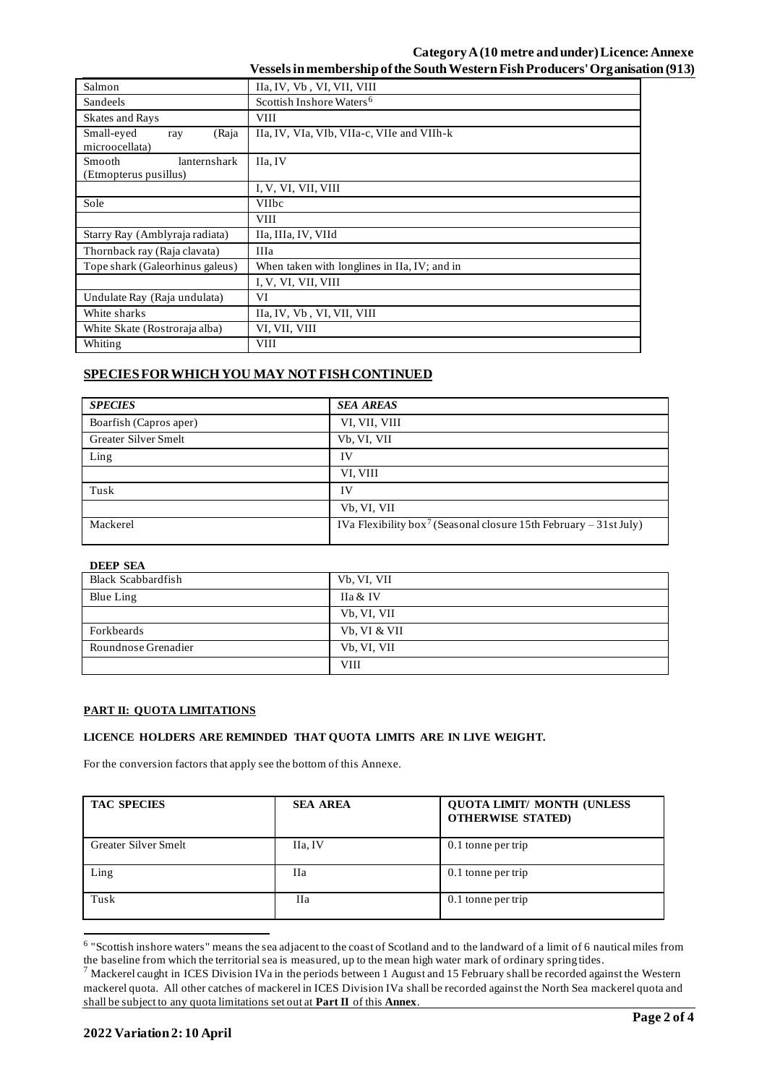## **Category A (10 metre and under) Licence: Annexe Vessels in membership of the South Western Fish Producers' Organisation (913)**

| Salmon                                       | IIa, IV, Vb, VI, VII, VIII                   |  |
|----------------------------------------------|----------------------------------------------|--|
| Sandeels                                     | Scottish Inshore Waters <sup>6</sup>         |  |
| <b>Skates and Rays</b>                       | <b>VIII</b>                                  |  |
| Small-eyed<br>(Raja<br>ray<br>microocellata) | IIa, IV, VIa, VIb, VIIa-c, VIIe and VIIh-k   |  |
| Smooth<br>lanternshark                       | IIa, IV                                      |  |
| (Etmopterus pusillus)                        |                                              |  |
|                                              | I, V, VI, VII, VIII                          |  |
| Sole                                         | <b>VIIbc</b>                                 |  |
|                                              | <b>VIII</b>                                  |  |
| Starry Ray (Amblyraja radiata)               | IIa, IIIa, IV, VIId                          |  |
| Thornback ray (Raja clavata)                 | <b>IIIa</b>                                  |  |
| Tope shark (Galeorhinus galeus)              | When taken with longlines in IIa, IV; and in |  |
|                                              | I, V, VI, VII, VIII                          |  |
| Undulate Ray (Raja undulata)                 | VI                                           |  |
| White sharks                                 | IIa, IV, Vb, VI, VII, VIII                   |  |
| White Skate (Rostroraja alba)                | VI, VII, VIII                                |  |
| Whiting                                      | <b>VIII</b>                                  |  |
|                                              |                                              |  |

# **SPECIES FOR WHICH YOU MAY NOT FISH CONTINUED**

| <b>SPECIES</b>         | <b>SEA AREAS</b>                                                              |
|------------------------|-------------------------------------------------------------------------------|
| Boarfish (Capros aper) | VI, VII, VIII                                                                 |
| Greater Silver Smelt   | Vb, VI, VII                                                                   |
| Ling                   | IV                                                                            |
|                        | VI, VIII                                                                      |
| Tusk                   | IV                                                                            |
|                        | Vb, VI, VII                                                                   |
| Mackerel               | IVa Flexibility box <sup>7</sup> (Seasonal closure 15th February – 31st July) |

| <b>DEEP SEA</b>           |              |
|---------------------------|--------------|
| <b>Black Scabbardfish</b> | Vb, VI, VII  |
| Blue Ling                 | IIa & IV     |
|                           | Vb, VI, VII  |
| Forkbeards                | Vb, VI & VII |
| Roundnose Grenadier       | Vb, VI, VII  |
|                           | VIII         |

### **PART II: QUOTA LIMITATIONS**

### **LICENCE HOLDERS ARE REMINDED THAT QUOTA LIMITS ARE IN LIVE WEIGHT.**

For the conversion factors that apply see the bottom of this Annexe.

| <b>TAC SPECIES</b>          | <b>SEA AREA</b> | <b>QUOTA LIMIT/ MONTH (UNLESS)</b><br><b>OTHERWISE STATED)</b> |
|-----------------------------|-----------------|----------------------------------------------------------------|
| <b>Greater Silver Smelt</b> | IIa, IV         | 0.1 tonne per trip                                             |
| Ling                        | Пa              | 0.1 tonne per trip                                             |
| Tusk                        | <b>IIa</b>      | 0.1 tonne per trip                                             |

<sup>&</sup>lt;sup>6</sup> "Scottish inshore waters" means the sea adjacent to the coast of Scotland and to the landward of a limit of 6 nautical miles from the baseline from which the territorial sea is measured, up to the mean high water mark of ordinary spring tides.

 $^7$  Mackerel caught in ICES Division IVa in the periods between 1 August and 15 February shall be recorded against the Western mackerel quota. All other catches of mackerel in ICES Division IVa shall be recorded against the North Sea mackerel quota and shall be subject to any quota limitations set out at **Part II** of this **Annex**.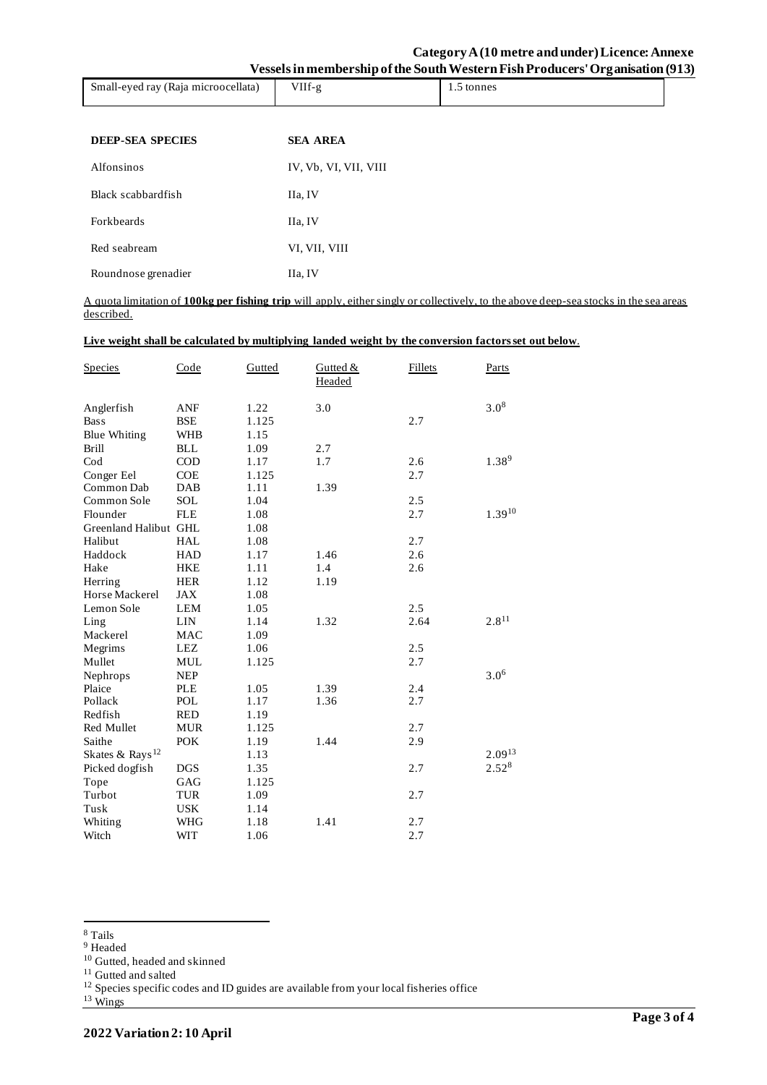|                                     |            | --         |
|-------------------------------------|------------|------------|
| Small-eyed ray (Raja microocellata) | $^7$ IIf-g | 1.5 tonnes |
|                                     |            |            |

| <b>DEEP-SEA SPECIES</b> | <b>SEA AREA</b>       |
|-------------------------|-----------------------|
| Alfonsinos              | IV, Vb, VI, VII, VIII |
| Black scabbardfish      | IIa, IV               |
| <b>Forkbeards</b>       | IIa, IV               |
| Red seabream            | VI, VII, VIII         |
| Roundnose grenadier     | IIa, IV               |

A quota limitation of **100kg per fishing trip** will apply, either singly or collectively, to the above deep-sea stocks in the sea areas described.

### **Live weight shall be calculated by multiplying landed weight by the conversion factors set out below**.

| <b>Species</b>              | Code       | Gutted | Gutted $&$<br>Headed | <b>Fillets</b> | Parts       |
|-----------------------------|------------|--------|----------------------|----------------|-------------|
| Anglerfish                  | ANF        | 1.22   | 3.0                  |                | $3.0^{8}$   |
| <b>Bass</b>                 | <b>BSE</b> | 1.125  |                      | 2.7            |             |
| <b>Blue Whiting</b>         | <b>WHB</b> | 1.15   |                      |                |             |
| <b>Brill</b>                | <b>BLL</b> | 1.09   | 2.7                  |                |             |
| $\mathrm{Cod}$              | <b>COD</b> | 1.17   | 1.7                  | 2.6            | $1.38^{9}$  |
| Conger Eel                  | <b>COE</b> | 1.125  |                      | 2.7            |             |
| Common Dab                  | DAB        | 1.11   | 1.39                 |                |             |
| Common Sole                 | SOL        | 1.04   |                      | 2.5            |             |
| Flounder                    | <b>FLE</b> | 1.08   |                      | 2.7            | $1.39^{10}$ |
| Greenland Halibut GHL       |            | 1.08   |                      |                |             |
| Halibut                     | <b>HAL</b> | 1.08   |                      | 2.7            |             |
| Haddock                     | <b>HAD</b> | 1.17   | 1.46                 | 2.6            |             |
| Hake                        | <b>HKE</b> | 1.11   | 1.4                  | 2.6            |             |
| Herring                     | <b>HER</b> | 1.12   | 1.19                 |                |             |
| Horse Mackerel              | <b>JAX</b> | 1.08   |                      |                |             |
| Lemon Sole                  | <b>LEM</b> | 1.05   |                      | 2.5            |             |
| Ling                        | <b>LIN</b> | 1.14   | 1.32                 | 2.64           | $2.8^{11}$  |
| Mackerel                    | <b>MAC</b> | 1.09   |                      |                |             |
| Megrims                     | <b>LEZ</b> | 1.06   |                      | 2.5            |             |
| Mullet                      | <b>MUL</b> | 1.125  |                      | 2.7            |             |
| Nephrops                    | <b>NEP</b> |        |                      |                | $3.0^{6}$   |
| Plaice                      | <b>PLE</b> | 1.05   | 1.39                 | 2.4            |             |
| Pollack                     | POL        | 1.17   | 1.36                 | 2.7            |             |
| Redfish                     | <b>RED</b> | 1.19   |                      |                |             |
| Red Mullet                  | MUR        | 1.125  |                      | 2.7            |             |
| Saithe                      | <b>POK</b> | 1.19   | 1.44                 | 2.9            |             |
| Skates & Rays <sup>12</sup> |            | 1.13   |                      |                | $2.09^{13}$ |
| Picked dogfish              | <b>DGS</b> | 1.35   |                      | 2.7            | $2.52^{8}$  |
| Tope                        | GAG        | 1.125  |                      |                |             |
| Turbot                      | TUR        | 1.09   |                      | 2.7            |             |
| Tusk                        | <b>USK</b> | 1.14   |                      |                |             |
| Whiting                     | WHG        | 1.18   | 1.41                 | 2.7            |             |
| Witch                       | <b>WIT</b> | 1.06   |                      | 2.7            |             |

<sup>8</sup> Tails

<sup>&</sup>lt;sup>9</sup> Headed

<sup>10</sup> Gutted, headed and skinned

<sup>&</sup>lt;sup>11</sup> Gutted and salted

<sup>&</sup>lt;sup>12</sup> Species specific codes and ID guides are available from your local fisheries office

 $13 \text{ Wings}$